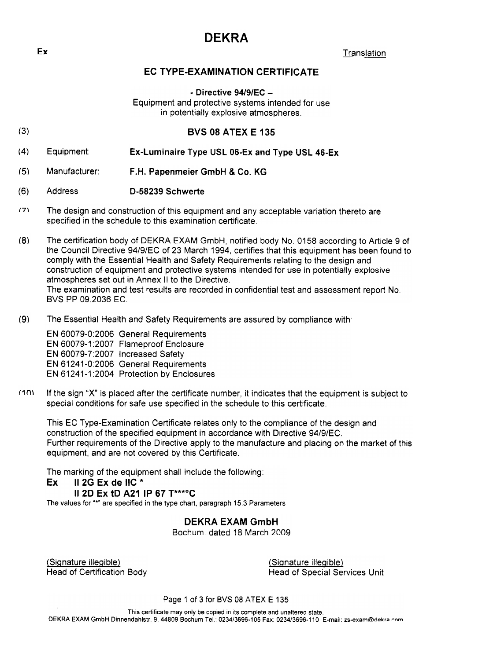## DEKRA

 $\mathsf{Ex}$  . Translation is a set of  $\mathsf{Ex}$ 

## EC TYPE-EXAMINATION CERTIFICATE

 $-$  Directive 94/9/EC  $-$ 

Equipment and protective systems intended for use in potentially explosive atmospheres.

- (3) BVS 08 ATEX E 135
- (4) Equipment: Ex-Luminaire Type USL 06-Ex and Type USL 46-Ex
- (5) Manufacturer: F .H. Papenmeier GmbH & Co. KG
- (6) Address D-58239 Schwerte
- (7\ The design and construction of this equipment and any acceptable variation thereto are specified in the schedule to this examination certificate.

(8) The certification body of DEKRA EXAM GmbH, notified body No.0158 according to Article 9 of the Council Directive 94/9/EC of 23 March 1994, certifies that this equipment has been found to comply with the Essential Health and Safety Requirements relating to the design and construction of equipment and protective systems intended for use in potentially explosive atmospheres set out in Annex II to the Directive. The examination and test results are recorded in confidential test and assessment report No. BVS pp 09.2036 EC.

(9) The Essential Health and Safety Requirements are assured by compliance with.

EN 60079-0:2006 General Requirements EN 60079-1 :2007 Flameproof Enclosure EN 60079-7:2007 Increased Safety EN 61241-0:2006 General Requirements EN 61241-1:2004 Protection by Enclosures

(1m If the sign "X" is placed after the certificate number, it indicates that the equipment is subject to special conditions for safe use specified in the schedule to this certificate.

This EC Type-Examination Certificate relates only to the compliance of the design and construction of the specified equipment in accordance with Directive 94/9/EC. Further requirements of the Directive apply to the manufacture and placing on the market of this equipment, and are not covered by this Certificate.

The marking of the equipment shall include the following:

#### Ex II 2G Ex de IIC \*

#### II 2D Ex tD A21 IP 67 T\*\*\*oC

The values for "\*" are specifjed in the type chart, paragraph 15.3 Parameters

DEKRA EXAM GmbH

Bochum. dated 18 March 2009

(SiQnature illeQible) Head of Certification Body (SiQnature illeQible) Head of Special Services Unit

Page 1 of 3 for BVS 08 ATEX E 135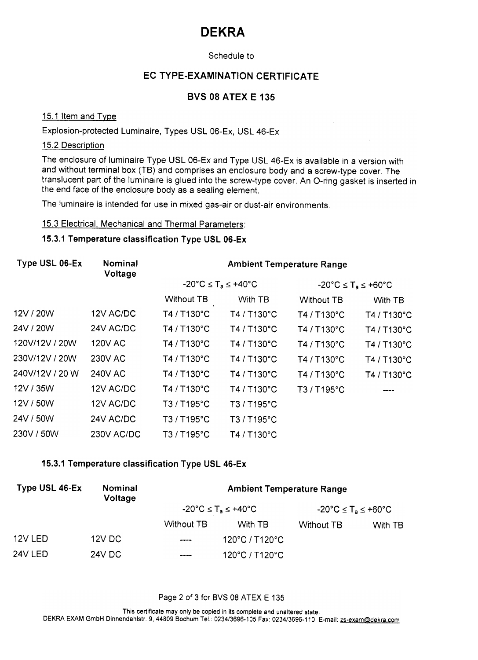# DEKRA

## Schedule to

#### EC TYPE-EXAMINATION CERTIFICATE

#### BVS 08 ATEX E 135

#### 15.1 Item and Type

## Explosion-protected Luminaire, Types USL 06-Ex, USL 46-Ex

#### 15.2 Description

The enclosure of luminaire Type USL 06-Ex and Type USL 46-Ex is available in aversion with and without terminal box (TB) and comprises an enclosure body and a screw-type cover. The translucent part of the luminaire is glued into the screw-type cover. An O-ring gasket is inserted in the end face of the enclosure body as a sealing element.

The luminaire is intended for use in mixed gas-air or dust-air environments.

#### 15.3 Electrical. Mechanical and Thermal Parameters:

#### 15.3.1 Temperature classification Type USL 06-Ex

| <b>Nominal</b><br>Voltage | <b>Ambient Temperature Range</b>                              |             |                                                               |             |
|---------------------------|---------------------------------------------------------------|-------------|---------------------------------------------------------------|-------------|
|                           | $-20^{\circ}$ C $\leq$ T <sub>a</sub> $\leq$ +40 $^{\circ}$ C |             | $-20^{\circ}$ C $\leq$ T <sub>a</sub> $\leq$ +60 $^{\circ}$ C |             |
|                           | <b>Without TB</b>                                             | With TB     | <b>Without TB</b>                                             | With TB     |
| 12V AC/DC                 | T4 / T130°C                                                   | T4 / T130°C | T4 / T130°C                                                   | T4 / T130°C |
| 24V AC/DC                 | T4 / T130°C                                                   | T4 / T130°C | T4 / T130°C                                                   | T4 / T130°C |
| 120V AC                   | T4 / T130°C                                                   | T4 / T130°C | T4 / T130°C                                                   | T4 / T130°C |
| <b>230V AC</b>            | T4 / T130°C                                                   | T4 / T130°C | T4 / T130°C                                                   | T4 / T130°C |
| <b>240V AC</b>            | T4 / T130°C                                                   | T4 / T130°C | T4 / T130°C                                                   | T4 / T130°C |
| 12V AC/DC                 | T4 / T130°C                                                   | T4 / T130°C | T3 / T195°C                                                   |             |
| 12V AC/DC                 | T3 / T195°C                                                   | T3/T195°C   |                                                               |             |
| 24V AC/DC                 | T3 / T195°C                                                   | T3 / T195°C |                                                               |             |
| 230V AC/DC                | T3 / T195°C                                                   | T4 / T130°C |                                                               |             |
|                           |                                                               |             |                                                               |             |

#### 15.3.1 Temperature classification Type USL 46-Ex

| Type USL 46-Ex | Nominal<br>Voltage | <b>Ambient Temperature Range</b>                              |                |                                                               |         |
|----------------|--------------------|---------------------------------------------------------------|----------------|---------------------------------------------------------------|---------|
|                |                    | $-20^{\circ}$ C $\leq$ T <sub>a</sub> $\leq$ +40 $^{\circ}$ C |                | $-20^{\circ}$ C $\leq$ T <sub>a</sub> $\leq$ +60 $^{\circ}$ C |         |
|                |                    | Without TB                                                    | With TB        | <b>Without TB</b>                                             | With TB |
| 12V LED        | 12V DC             | $\cdots$                                                      | 120°C / T120°C |                                                               |         |
| 24V LED        | <b>24V DC</b>      | ----                                                          | 120°C / T120°C |                                                               |         |

#### Page 2 of 3 for BVS 08 ATEX E 135

This certificate may only be copied in its complete and unaltered state, DEKRA EXAM GmbH Dinnendahlstr. 9, 44809 Bochum Tel.: 0234/3696-105 Fax: 0234/3696-110 E-mail: zs-exam@dekra.com